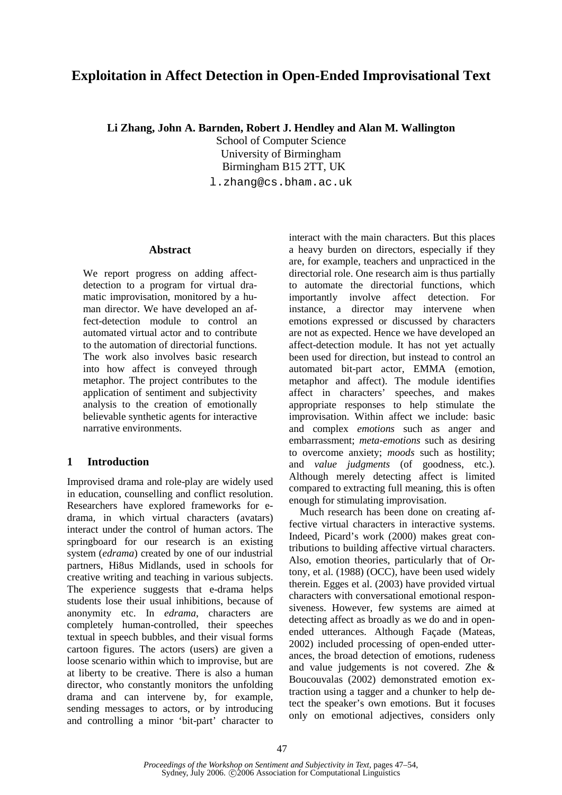# **Exploitation in Affect Detection in Open-Ended Improvisational Text**

**Li Zhang, John A. Barnden, Robert J. Hendley and Alan M. Wallington**

School of Computer Science University of Birmingham Birmingham B15 2TT, UK

l.zhang@cs.bham.ac.uk

### **Abstract**

We report progress on adding affectdetection to a program for virtual dramatic improvisation, monitored by a human director. We have developed an affect-detection module to control an automated virtual actor and to contribute to the automation of directorial functions. The work also involves basic research into how affect is conveyed through metaphor. The project contributes to the application of sentiment and subjectivity analysis to the creation of emotionally believable synthetic agents for interactive narrative environments.

### **1 Introduction**

Improvised drama and role-play are widely used in education, counselling and conflict resolution. Researchers have explored frameworks for edrama, in which virtual characters (avatars) interact under the control of human actors. The springboard for our research is an existing system (*edrama*) created by one of our industrial partners, Hi8us Midlands, used in schools for creative writing and teaching in various subjects. The experience suggests that e-drama helps students lose their usual inhibitions, because of anonymity etc. In *edrama*, characters are completely human-controlled, their speeches textual in speech bubbles, and their visual forms cartoon figures. The actors (users) are given a loose scenario within which to improvise, but are at liberty to be creative. There is also a human director, who constantly monitors the unfolding drama and can intervene by, for example, sending messages to actors, or by introducing and controlling a minor 'bit-part' character to interact with the main characters. But this places a heavy burden on directors, especially if they are, for example, teachers and unpracticed in the directorial role. One research aim is thus partially to automate the directorial functions, which importantly involve affect detection. For instance, a director may intervene when emotions expressed or discussed by characters are not as expected. Hence we have developed an affect-detection module. It has not yet actually been used for direction, but instead to control an automated bit-part actor, EMMA (emotion, metaphor and affect). The module identifies affect in characters' speeches, and makes appropriate responses to help stimulate the improvisation. Within affect we include: basic and complex *emotions* such as anger and embarrassment; *meta-emotions* such as desiring to overcome anxiety; *moods* such as hostility; and *value judgments* (of goodness, etc.). Although merely detecting affect is limited compared to extracting full meaning, this is often enough for stimulating improvisation.

Much research has been done on creating affective virtual characters in interactive systems. Indeed, Picard's work (2000) makes great contributions to building affective virtual characters. Also, emotion theories, particularly that of Ortony, et al. (1988) (OCC), have been used widely therein. Egges et al. (2003) have provided virtual characters with conversational emotional responsiveness. However, few systems are aimed at detecting affect as broadly as we do and in openended utterances. Although Façade (Mateas, 2002) included processing of open-ended utterances, the broad detection of emotions, rudeness and value judgements is not covered. Zhe & Boucouvalas (2002) demonstrated emotion extraction using a tagger and a chunker to help detect the speaker's own emotions. But it focuses only on emotional adjectives, considers only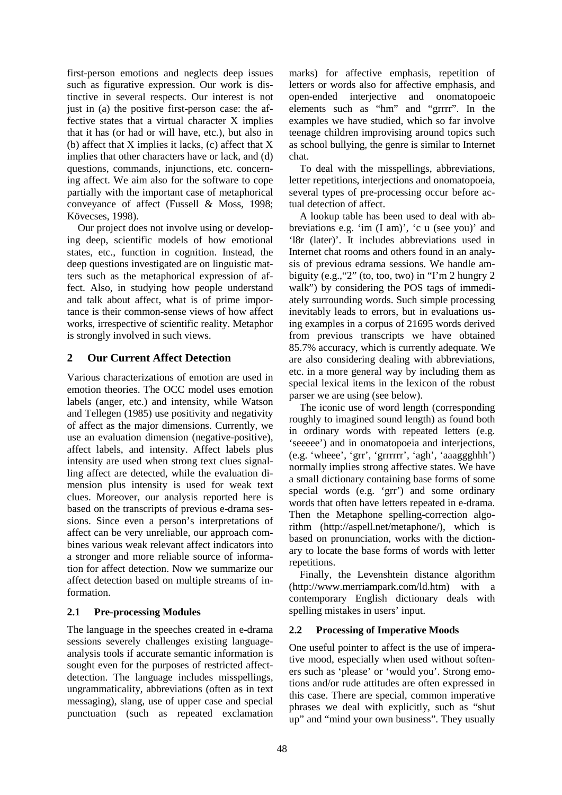first-person emotions and neglects deep issues such as figurative expression. Our work is distinctive in several respects. Our interest is not just in (a) the positive first-person case: the affective states that a virtual character X implies that it has (or had or will have, etc.), but also in (b) affect that X implies it lacks, (c) affect that X implies that other characters have or lack, and (d) questions, commands, injunctions, etc. concerning affect. We aim also for the software to cope partially with the important case of metaphorical conveyance of affect (Fussell & Moss, 1998; Kövecses, 1998).

Our project does not involve using or developing deep, scientific models of how emotional states, etc., function in cognition. Instead, the deep questions investigated are on linguistic matters such as the metaphorical expression of affect. Also, in studying how people understand and talk about affect, what is of prime importance is their common-sense views of how affect works, irrespective of scientific reality. Metaphor is strongly involved in such views.

## **2 Our Current Affect Detection**

Various characterizations of emotion are used in emotion theories. The OCC model uses emotion labels (anger, etc.) and intensity, while Watson and Tellegen (1985) use positivity and negativity of affect as the major dimensions. Currently, we use an evaluation dimension (negative-positive), affect labels, and intensity. Affect labels plus intensity are used when strong text clues signalling affect are detected, while the evaluation dimension plus intensity is used for weak text clues. Moreover, our analysis reported here is based on the transcripts of previous e-drama sessions. Since even a person's interpretations of affect can be very unreliable, our approach combines various weak relevant affect indicators into a stronger and more reliable source of information for affect detection. Now we summarize our affect detection based on multiple streams of information.

## **2.1 Pre-processing Modules**

The language in the speeches created in e-drama sessions severely challenges existing languageanalysis tools if accurate semantic information is sought even for the purposes of restricted affectdetection. The language includes misspellings, ungrammaticality, abbreviations (often as in text messaging), slang, use of upper case and special punctuation (such as repeated exclamation marks) for affective emphasis, repetition of letters or words also for affective emphasis, and open-ended interjective and onomatopoeic elements such as "hm" and "grrrr". In the examples we have studied, which so far involve teenage children improvising around topics such as school bullying, the genre is similar to Internet chat.

To deal with the misspellings, abbreviations, letter repetitions, interjections and onomatopoeia, several types of pre-processing occur before actual detection of affect.

A lookup table has been used to deal with abbreviations e.g. 'im (I am)', 'c u (see you)' and 'l8r (later)'. It includes abbreviations used in Internet chat rooms and others found in an analysis of previous edrama sessions. We handle ambiguity (e.g.,"2" (to, too, two) in "I'm 2 hungry 2 walk") by considering the POS tags of immediately surrounding words. Such simple processing inevitably leads to errors, but in evaluations using examples in a corpus of 21695 words derived from previous transcripts we have obtained 85.7% accuracy, which is currently adequate. We are also considering dealing with abbreviations, etc. in a more general way by including them as special lexical items in the lexicon of the robust parser we are using (see below).

The iconic use of word length (corresponding roughly to imagined sound length) as found both in ordinary words with repeated letters (e.g. 'seeeee') and in onomatopoeia and interjections, (e.g. 'wheee', 'grr', 'grrrrrr', 'agh', 'aaaggghhh') normally implies strong affective states. We have a small dictionary containing base forms of some special words (e.g. 'grr') and some ordinary words that often have letters repeated in e-drama. Then the Metaphone spelling-correction algorithm (http://aspell.net/metaphone/), which is based on pronunciation, works with the dictionary to locate the base forms of words with letter repetitions.

Finally, the Levenshtein distance algorithm (http://www.merriampark.com/ld.htm) with a contemporary English dictionary deals with spelling mistakes in users' input.

## **2.2 Processing of Imperative Moods**

One useful pointer to affect is the use of imperative mood, especially when used without softeners such as 'please' or 'would you'. Strong emotions and/or rude attitudes are often expressed in this case. There are special, common imperative phrases we deal with explicitly, such as "shut up" and "mind your own business". They usually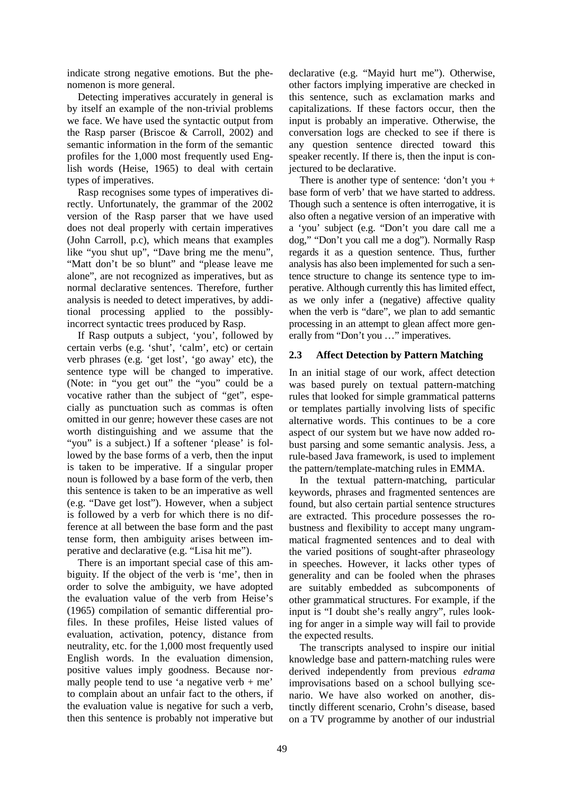indicate strong negative emotions. But the phenomenon is more general.

Detecting imperatives accurately in general is by itself an example of the non-trivial problems we face. We have used the syntactic output from the Rasp parser (Briscoe & Carroll, 2002) and semantic information in the form of the semantic profiles for the 1,000 most frequently used English words (Heise, 1965) to deal with certain types of imperatives.

Rasp recognises some types of imperatives directly. Unfortunately, the grammar of the 2002 version of the Rasp parser that we have used does not deal properly with certain imperatives (John Carroll, p.c), which means that examples like "you shut up", "Dave bring me the menu", "Matt don't be so blunt" and "please leave me alone", are not recognized as imperatives, but as normal declarative sentences. Therefore, further analysis is needed to detect imperatives, by additional processing applied to the possiblyincorrect syntactic trees produced by Rasp.

If Rasp outputs a subject, 'you', followed by certain verbs (e.g. 'shut', 'calm', etc) or certain verb phrases (e.g. 'get lost', 'go away' etc), the sentence type will be changed to imperative. (Note: in "you get out" the "you" could be a vocative rather than the subject of "get", especially as punctuation such as commas is often omitted in our genre; however these cases are not worth distinguishing and we assume that the "you" is a subject.) If a softener 'please' is followed by the base forms of a verb, then the input is taken to be imperative. If a singular proper noun is followed by a base form of the verb, then this sentence is taken to be an imperative as well (e.g. "Dave get lost"). However, when a subject is followed by a verb for which there is no difference at all between the base form and the past tense form, then ambiguity arises between imperative and declarative (e.g. "Lisa hit me").

There is an important special case of this ambiguity. If the object of the verb is 'me', then in order to solve the ambiguity, we have adopted the evaluation value of the verb from Heise's (1965) compilation of semantic differential profiles. In these profiles, Heise listed values of evaluation, activation, potency, distance from neutrality, etc. for the 1,000 most frequently used English words. In the evaluation dimension, positive values imply goodness. Because normally people tend to use 'a negative verb  $+$  me' to complain about an unfair fact to the others, if the evaluation value is negative for such a verb, then this sentence is probably not imperative but

declarative (e.g. "Mayid hurt me"). Otherwise, other factors implying imperative are checked in this sentence, such as exclamation marks and capitalizations. If these factors occur, then the input is probably an imperative. Otherwise, the conversation logs are checked to see if there is any question sentence directed toward this speaker recently. If there is, then the input is conjectured to be declarative.

There is another type of sentence: 'don't you + base form of verb' that we have started to address. Though such a sentence is often interrogative, it is also often a negative version of an imperative with a 'you' subject (e.g. "Don't you dare call me a dog," "Don't you call me a dog"). Normally Rasp regards it as a question sentence. Thus, further analysis has also been implemented for such a sentence structure to change its sentence type to imperative. Although currently this has limited effect, as we only infer a (negative) affective quality when the verb is "dare", we plan to add semantic processing in an attempt to glean affect more generally from "Don't you …" imperatives.

### **2.3 Affect Detection by Pattern Matching**

In an initial stage of our work, affect detection was based purely on textual pattern-matching rules that looked for simple grammatical patterns or templates partially involving lists of specific alternative words. This continues to be a core aspect of our system but we have now added robust parsing and some semantic analysis. Jess, a rule-based Java framework, is used to implement the pattern/template-matching rules in EMMA.

In the textual pattern-matching, particular keywords, phrases and fragmented sentences are found, but also certain partial sentence structures are extracted. This procedure possesses the robustness and flexibility to accept many ungrammatical fragmented sentences and to deal with the varied positions of sought-after phraseology in speeches. However, it lacks other types of generality and can be fooled when the phrases are suitably embedded as subcomponents of other grammatical structures. For example, if the input is "I doubt she's really angry", rules looking for anger in a simple way will fail to provide the expected results.

The transcripts analysed to inspire our initial knowledge base and pattern-matching rules were derived independently from previous *edrama* improvisations based on a school bullying scenario. We have also worked on another, distinctly different scenario, Crohn's disease, based on a TV programme by another of our industrial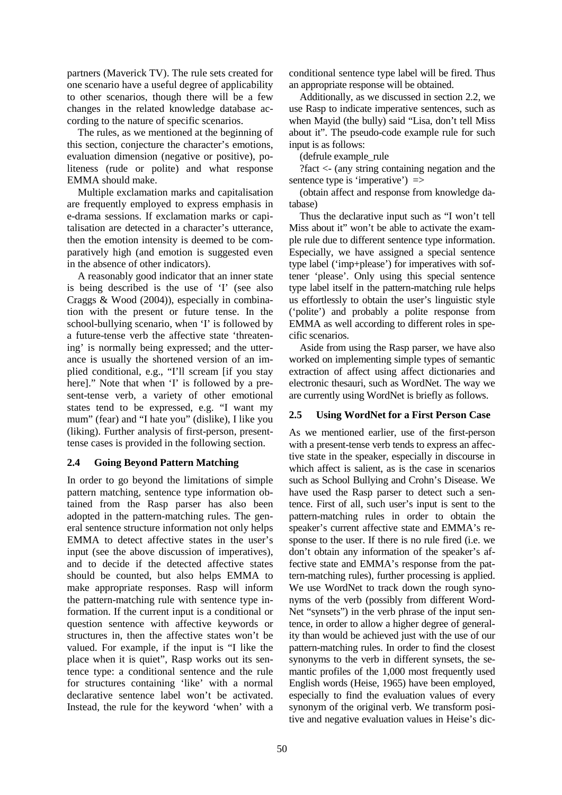partners (Maverick TV). The rule sets created for one scenario have a useful degree of applicability to other scenarios, though there will be a few changes in the related knowledge database according to the nature of specific scenarios.

The rules, as we mentioned at the beginning of this section, conjecture the character's emotions, evaluation dimension (negative or positive), politeness (rude or polite) and what response EMMA should make.

Multiple exclamation marks and capitalisation are frequently employed to express emphasis in e-drama sessions. If exclamation marks or capitalisation are detected in a character's utterance, then the emotion intensity is deemed to be comparatively high (and emotion is suggested even in the absence of other indicators).

A reasonably good indicator that an inner state is being described is the use of 'I' (see also Craggs & Wood (2004)), especially in combination with the present or future tense. In the school-bullying scenario, when 'I' is followed by a future-tense verb the affective state 'threatening' is normally being expressed; and the utterance is usually the shortened version of an implied conditional, e.g., "I'll scream [if you stay here]." Note that when 'I' is followed by a present-tense verb, a variety of other emotional states tend to be expressed, e.g. "I want my mum" (fear) and "I hate you" (dislike), I like you (liking). Further analysis of first-person, presenttense cases is provided in the following section.

### **2.4 Going Beyond Pattern Matching**

In order to go beyond the limitations of simple pattern matching, sentence type information obtained from the Rasp parser has also been adopted in the pattern-matching rules. The general sentence structure information not only helps EMMA to detect affective states in the user's input (see the above discussion of imperatives), and to decide if the detected affective states should be counted, but also helps EMMA to make appropriate responses. Rasp will inform the pattern-matching rule with sentence type information. If the current input is a conditional or question sentence with affective keywords or structures in, then the affective states won't be valued. For example, if the input is "I like the place when it is quiet", Rasp works out its sentence type: a conditional sentence and the rule for structures containing 'like' with a normal declarative sentence label won't be activated. Instead, the rule for the keyword 'when' with a

conditional sentence type label will be fired. Thus an appropriate response will be obtained.

Additionally, as we discussed in section 2.2, we use Rasp to indicate imperative sentences, such as when Mayid (the bully) said "Lisa, don't tell Miss about it". The pseudo-code example rule for such input is as follows:

(defrule example\_rule

?fact <- (any string containing negation and the sentence type is 'imperative')  $\Rightarrow$ 

(obtain affect and response from knowledge database)

Thus the declarative input such as "I won't tell Miss about it" won't be able to activate the example rule due to different sentence type information. Especially, we have assigned a special sentence type label ('imp+please') for imperatives with softener 'please'. Only using this special sentence type label itself in the pattern-matching rule helps us effortlessly to obtain the user's linguistic style ('polite') and probably a polite response from EMMA as well according to different roles in specific scenarios.

Aside from using the Rasp parser, we have also worked on implementing simple types of semantic extraction of affect using affect dictionaries and electronic thesauri, such as WordNet. The way we are currently using WordNet is briefly as follows.

### **2.5 Using WordNet for a First Person Case**

As we mentioned earlier, use of the first-person with a present-tense verb tends to express an affective state in the speaker, especially in discourse in which affect is salient, as is the case in scenarios such as School Bullying and Crohn's Disease. We have used the Rasp parser to detect such a sentence. First of all, such user's input is sent to the pattern-matching rules in order to obtain the speaker's current affective state and EMMA's response to the user. If there is no rule fired (i.e. we don't obtain any information of the speaker's affective state and EMMA's response from the pattern-matching rules), further processing is applied. We use WordNet to track down the rough synonyms of the verb (possibly from different Word-Net "synsets") in the verb phrase of the input sentence, in order to allow a higher degree of generality than would be achieved just with the use of our pattern-matching rules. In order to find the closest synonyms to the verb in different synsets, the semantic profiles of the 1,000 most frequently used English words (Heise, 1965) have been employed, especially to find the evaluation values of every synonym of the original verb. We transform positive and negative evaluation values in Heise's dic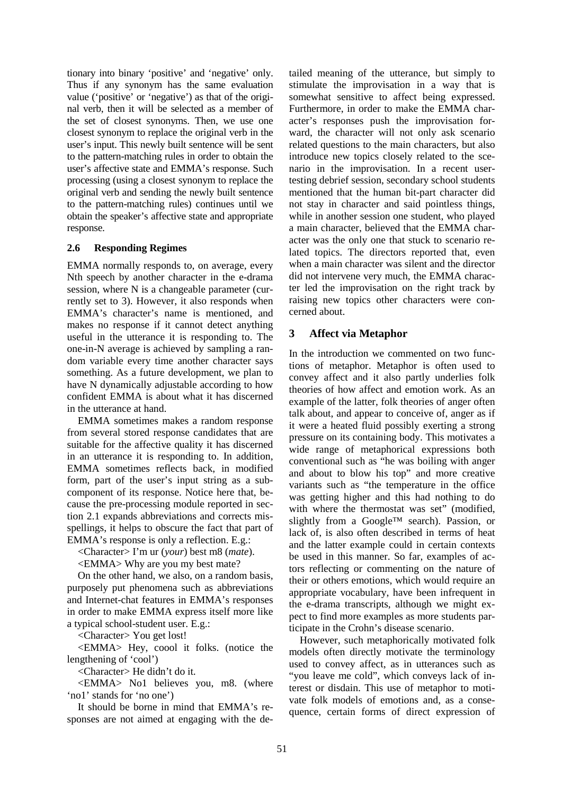tionary into binary 'positive' and 'negative' only. Thus if any synonym has the same evaluation value ('positive' or 'negative') as that of the original verb, then it will be selected as a member of the set of closest synonyms. Then, we use one closest synonym to replace the original verb in the user's input. This newly built sentence will be sent to the pattern-matching rules in order to obtain the user's affective state and EMMA's response. Such processing (using a closest synonym to replace the original verb and sending the newly built sentence to the pattern-matching rules) continues until we obtain the speaker's affective state and appropriate response.

#### **2.6 Responding Regimes**

EMMA normally responds to, on average, every Nth speech by another character in the e-drama session, where N is a changeable parameter (currently set to 3). However, it also responds when EMMA's character's name is mentioned, and makes no response if it cannot detect anything useful in the utterance it is responding to. The one-in-N average is achieved by sampling a random variable every time another character says something. As a future development, we plan to have N dynamically adjustable according to how confident EMMA is about what it has discerned in the utterance at hand.

EMMA sometimes makes a random response from several stored response candidates that are suitable for the affective quality it has discerned in an utterance it is responding to. In addition, EMMA sometimes reflects back, in modified form, part of the user's input string as a subcomponent of its response. Notice here that, because the pre-processing module reported in section 2.1 expands abbreviations and corrects misspellings, it helps to obscure the fact that part of EMMA's response is only a reflection. E.g.:

<Character> I'm ur (*your*) best m8 (*mate*).

<EMMA> Why are you my best mate?

On the other hand, we also, on a random basis, purposely put phenomena such as abbreviations and Internet-chat features in EMMA's responses in order to make EMMA express itself more like a typical school-student user. E.g.:

<Character> You get lost!

<EMMA> Hey, coool it folks. (notice the lengthening of 'cool')

<Character> He didn't do it.

<EMMA> No1 believes you, m8. (where 'no1' stands for 'no one')

It should be borne in mind that EMMA's responses are not aimed at engaging with the detailed meaning of the utterance, but simply to stimulate the improvisation in a way that is somewhat sensitive to affect being expressed. Furthermore, in order to make the EMMA character's responses push the improvisation forward, the character will not only ask scenario related questions to the main characters, but also introduce new topics closely related to the scenario in the improvisation. In a recent usertesting debrief session, secondary school students mentioned that the human bit-part character did not stay in character and said pointless things, while in another session one student, who played a main character, believed that the EMMA character was the only one that stuck to scenario related topics. The directors reported that, even when a main character was silent and the director did not intervene very much, the EMMA character led the improvisation on the right track by raising new topics other characters were concerned about.

### **3 Affect via Metaphor**

In the introduction we commented on two functions of metaphor. Metaphor is often used to convey affect and it also partly underlies folk theories of how affect and emotion work. As an example of the latter, folk theories of anger often talk about, and appear to conceive of, anger as if it were a heated fluid possibly exerting a strong pressure on its containing body. This motivates a wide range of metaphorical expressions both conventional such as "he was boiling with anger and about to blow his top" and more creative variants such as "the temperature in the office was getting higher and this had nothing to do with where the thermostat was set" (modified, slightly from a Google™ search). Passion, or lack of, is also often described in terms of heat and the latter example could in certain contexts be used in this manner. So far, examples of actors reflecting or commenting on the nature of their or others emotions, which would require an appropriate vocabulary, have been infrequent in the e-drama transcripts, although we might expect to find more examples as more students participate in the Crohn's disease scenario.

However, such metaphorically motivated folk models often directly motivate the terminology used to convey affect, as in utterances such as "you leave me cold", which conveys lack of interest or disdain. This use of metaphor to motivate folk models of emotions and, as a consequence, certain forms of direct expression of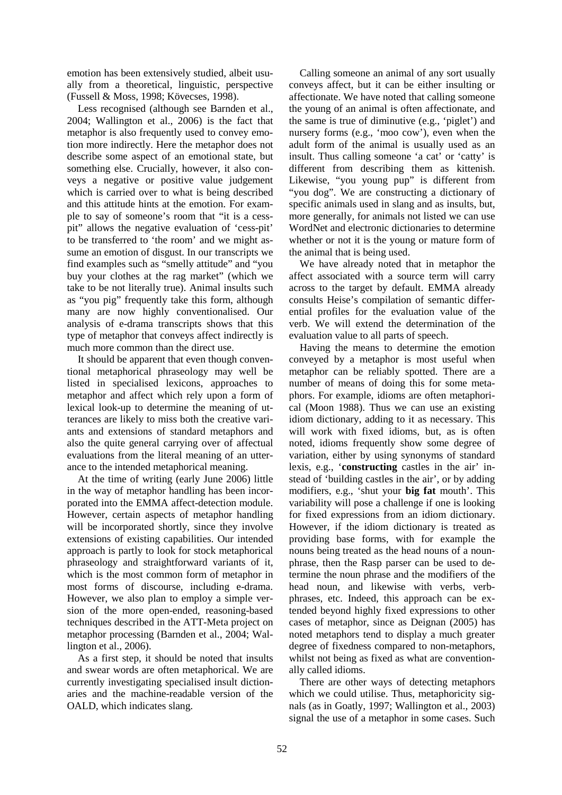emotion has been extensively studied, albeit usually from a theoretical, linguistic, perspective (Fussell & Moss, 1998; Kövecses, 1998).

Less recognised (although see Barnden et al., 2004; Wallington et al., 2006) is the fact that metaphor is also frequently used to convey emotion more indirectly. Here the metaphor does not describe some aspect of an emotional state, but something else. Crucially, however, it also conveys a negative or positive value judgement which is carried over to what is being described and this attitude hints at the emotion. For example to say of someone's room that "it is a cesspit" allows the negative evaluation of 'cess-pit' to be transferred to 'the room' and we might assume an emotion of disgust. In our transcripts we find examples such as "smelly attitude" and "you buy your clothes at the rag market" (which we take to be not literally true). Animal insults such as "you pig" frequently take this form, although many are now highly conventionalised. Our analysis of e-drama transcripts shows that this type of metaphor that conveys affect indirectly is much more common than the direct use.

It should be apparent that even though conventional metaphorical phraseology may well be listed in specialised lexicons, approaches to metaphor and affect which rely upon a form of lexical look-up to determine the meaning of utterances are likely to miss both the creative variants and extensions of standard metaphors and also the quite general carrying over of affectual evaluations from the literal meaning of an utterance to the intended metaphorical meaning.

At the time of writing (early June 2006) little in the way of metaphor handling has been incorporated into the EMMA affect-detection module. However, certain aspects of metaphor handling will be incorporated shortly, since they involve extensions of existing capabilities. Our intended approach is partly to look for stock metaphorical phraseology and straightforward variants of it, which is the most common form of metaphor in most forms of discourse, including e-drama. However, we also plan to employ a simple version of the more open-ended, reasoning-based techniques described in the ATT-Meta project on metaphor processing (Barnden et al., 2004; Wallington et al., 2006).

As a first step, it should be noted that insults and swear words are often metaphorical. We are currently investigating specialised insult dictionaries and the machine-readable version of the OALD, which indicates slang.

Calling someone an animal of any sort usually conveys affect, but it can be either insulting or affectionate. We have noted that calling someone the young of an animal is often affectionate, and the same is true of diminutive (e.g., 'piglet') and nursery forms (e.g., 'moo cow'), even when the adult form of the animal is usually used as an insult. Thus calling someone 'a cat' or 'catty' is different from describing them as kittenish. Likewise, "you young pup" is different from "you dog". We are constructing a dictionary of specific animals used in slang and as insults, but, more generally, for animals not listed we can use WordNet and electronic dictionaries to determine whether or not it is the young or mature form of the animal that is being used.

We have already noted that in metaphor the affect associated with a source term will carry across to the target by default. EMMA already consults Heise's compilation of semantic differential profiles for the evaluation value of the verb. We will extend the determination of the evaluation value to all parts of speech.

Having the means to determine the emotion conveyed by a metaphor is most useful when metaphor can be reliably spotted. There are a number of means of doing this for some metaphors. For example, idioms are often metaphorical (Moon 1988). Thus we can use an existing idiom dictionary, adding to it as necessary. This will work with fixed idioms, but, as is often noted, idioms frequently show some degree of variation, either by using synonyms of standard lexis, e.g., '**constructing** castles in the air' instead of 'building castles in the air', or by adding modifiers, e.g., 'shut your **big fat** mouth'. This variability will pose a challenge if one is looking for fixed expressions from an idiom dictionary. However, if the idiom dictionary is treated as providing base forms, with for example the nouns being treated as the head nouns of a nounphrase, then the Rasp parser can be used to determine the noun phrase and the modifiers of the head noun, and likewise with verbs, verbphrases, etc. Indeed, this approach can be extended beyond highly fixed expressions to other cases of metaphor, since as Deignan (2005) has noted metaphors tend to display a much greater degree of fixedness compared to non-metaphors, whilst not being as fixed as what are conventionally called idioms.

There are other ways of detecting metaphors which we could utilise. Thus, metaphoricity signals (as in Goatly, 1997; Wallington et al., 2003) signal the use of a metaphor in some cases. Such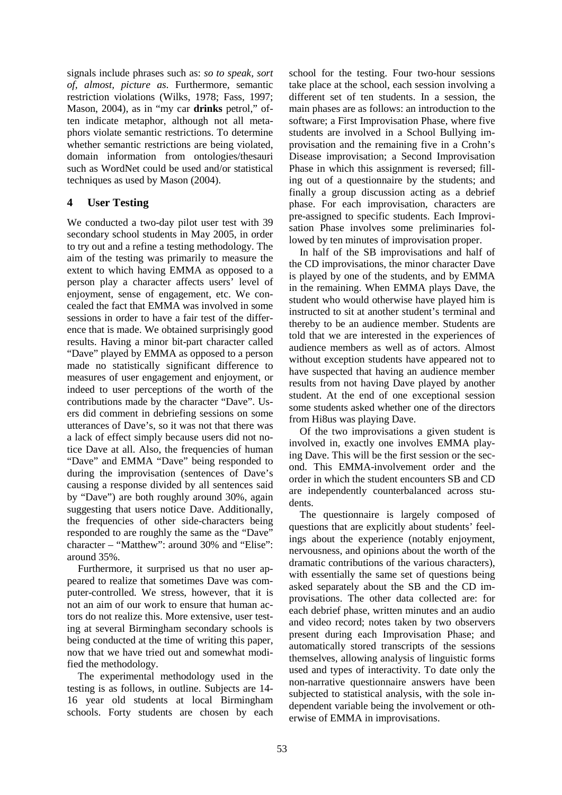signals include phrases such as: *so to speak, sort of, almost, picture as*. Furthermore, semantic restriction violations (Wilks, 1978; Fass, 1997; Mason, 2004), as in "my car **drinks** petrol," often indicate metaphor, although not all metaphors violate semantic restrictions. To determine whether semantic restrictions are being violated, domain information from ontologies/thesauri such as WordNet could be used and/or statistical techniques as used by Mason (2004).

## **4 User Testing**

We conducted a two-day pilot user test with 39 secondary school students in May 2005, in order to try out and a refine a testing methodology. The aim of the testing was primarily to measure the extent to which having EMMA as opposed to a person play a character affects users' level of enjoyment, sense of engagement, etc. We concealed the fact that EMMA was involved in some sessions in order to have a fair test of the difference that is made. We obtained surprisingly good results. Having a minor bit-part character called "Dave" played by EMMA as opposed to a person made no statistically significant difference to measures of user engagement and enjoyment, or indeed to user perceptions of the worth of the contributions made by the character "Dave". Users did comment in debriefing sessions on some utterances of Dave's, so it was not that there was a lack of effect simply because users did not notice Dave at all. Also, the frequencies of human "Dave" and EMMA "Dave" being responded to during the improvisation (sentences of Dave's causing a response divided by all sentences said by "Dave") are both roughly around 30%, again suggesting that users notice Dave. Additionally, the frequencies of other side-characters being responded to are roughly the same as the "Dave" character – "Matthew": around 30% and "Elise": around 35%.

Furthermore, it surprised us that no user appeared to realize that sometimes Dave was computer-controlled. We stress, however, that it is not an aim of our work to ensure that human actors do not realize this. More extensive, user testing at several Birmingham secondary schools is being conducted at the time of writing this paper, now that we have tried out and somewhat modified the methodology.

The experimental methodology used in the testing is as follows, in outline. Subjects are 14- 16 year old students at local Birmingham schools. Forty students are chosen by each school for the testing. Four two-hour sessions take place at the school, each session involving a different set of ten students. In a session, the main phases are as follows: an introduction to the software; a First Improvisation Phase, where five students are involved in a School Bullying improvisation and the remaining five in a Crohn's Disease improvisation; a Second Improvisation Phase in which this assignment is reversed; filling out of a questionnaire by the students; and finally a group discussion acting as a debrief phase. For each improvisation, characters are pre-assigned to specific students. Each Improvisation Phase involves some preliminaries followed by ten minutes of improvisation proper.

In half of the SB improvisations and half of the CD improvisations, the minor character Dave is played by one of the students, and by EMMA in the remaining. When EMMA plays Dave, the student who would otherwise have played him is instructed to sit at another student's terminal and thereby to be an audience member. Students are told that we are interested in the experiences of audience members as well as of actors. Almost without exception students have appeared not to have suspected that having an audience member results from not having Dave played by another student. At the end of one exceptional session some students asked whether one of the directors from Hi8us was playing Dave.

Of the two improvisations a given student is involved in, exactly one involves EMMA playing Dave. This will be the first session or the second. This EMMA-involvement order and the order in which the student encounters SB and CD are independently counterbalanced across students.

The questionnaire is largely composed of questions that are explicitly about students' feelings about the experience (notably enjoyment, nervousness, and opinions about the worth of the dramatic contributions of the various characters), with essentially the same set of questions being asked separately about the SB and the CD improvisations. The other data collected are: for each debrief phase, written minutes and an audio and video record; notes taken by two observers present during each Improvisation Phase; and automatically stored transcripts of the sessions themselves, allowing analysis of linguistic forms used and types of interactivity. To date only the non-narrative questionnaire answers have been subjected to statistical analysis, with the sole independent variable being the involvement or otherwise of EMMA in improvisations.